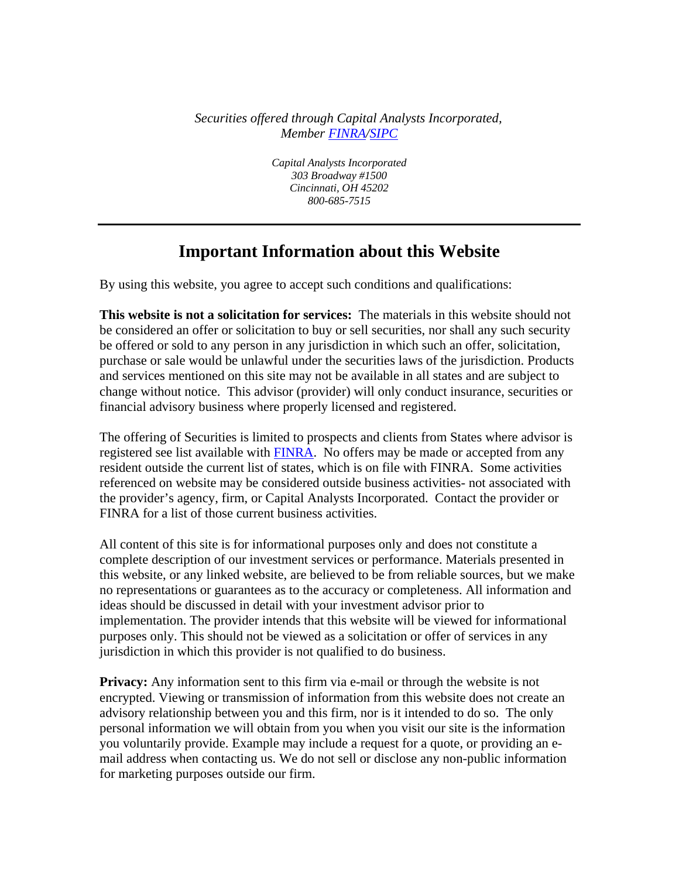*Securities offered through Capital Analysts Incorporated, Member FINRA/SIPC*

> *Capital Analysts Incorporated 303 Broadway #1500 Cincinnati, OH 45202 800-685-7515*

## **Important Information about this Website**

By using this website, you agree to accept such conditions and qualifications:

**This website is not a solicitation for services:** The materials in this website should not be considered an offer or solicitation to buy or sell securities, nor shall any such security be offered or sold to any person in any jurisdiction in which such an offer, solicitation, purchase or sale would be unlawful under the securities laws of the jurisdiction. Products and services mentioned on this site may not be available in all states and are subject to change without notice. This advisor (provider) will only conduct insurance, securities or financial advisory business where properly licensed and registered.

The offering of Securities is limited to prospects and clients from States where advisor is registered see list available with FINRA. No offers may be made or accepted from any resident outside the current list of states, which is on file with FINRA. Some activities referenced on website may be considered outside business activities- not associated with the provider's agency, firm, or Capital Analysts Incorporated. Contact the provider or FINRA for a list of those current business activities.

All content of this site is for informational purposes only and does not constitute a complete description of our investment services or performance. Materials presented in this website, or any linked website, are believed to be from reliable sources, but we make no representations or guarantees as to the accuracy or completeness. All information and ideas should be discussed in detail with your investment advisor prior to implementation. The provider intends that this website will be viewed for informational purposes only. This should not be viewed as a solicitation or offer of services in any jurisdiction in which this provider is not qualified to do business.

**Privacy:** Any information sent to this firm via e-mail or through the website is not encrypted. Viewing or transmission of information from this website does not create an advisory relationship between you and this firm, nor is it intended to do so. The only personal information we will obtain from you when you visit our site is the information you voluntarily provide. Example may include a request for a quote, or providing an email address when contacting us. We do not sell or disclose any non-public information for marketing purposes outside our firm.